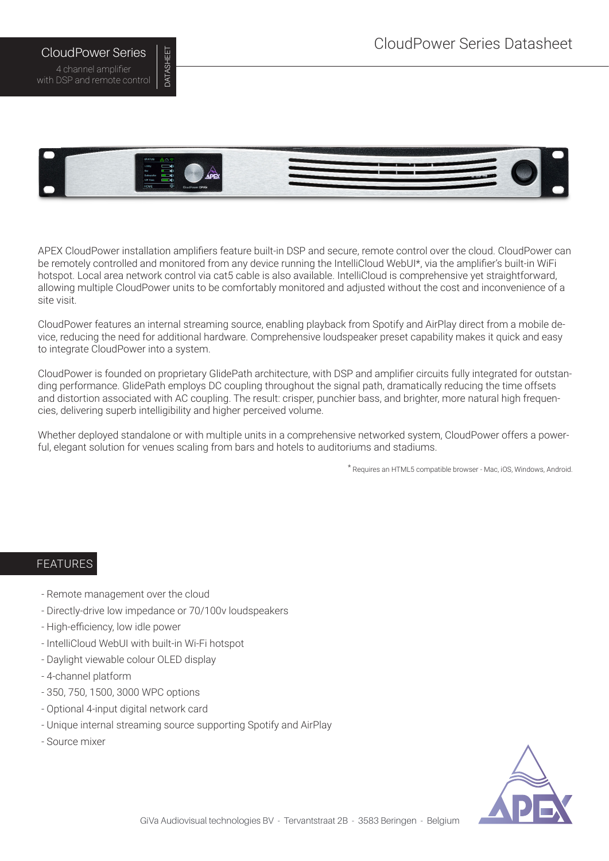## CloudPower Series Datasheet

CloudPower Series 4 channel amplifier with DSP and remote control DATASHEET

DATASHEET

# APEX CloudPower installation amplifiers feature built-in DSP and secure, remote control over the cloud. CloudPower can be remotely controlled and monitored from any device running the IntelliCloud WebUI\*, via the amplifier's built-in WiFi hotspot. Local area network control via cat5 cable is also available. IntelliCloud is comprehensive yet straightforward,

CloudPower features an internal streaming source, enabling playback from Spotify and AirPlay direct from a mobile device, reducing the need for additional hardware. Comprehensive loudspeaker preset capability makes it quick and easy to integrate CloudPower into a system.

allowing multiple CloudPower units to be comfortably monitored and adjusted without the cost and inconvenience of a

CloudPower is founded on proprietary GlidePath architecture, with DSP and amplifier circuits fully integrated for outstanding performance. GlidePath employs DC coupling throughout the signal path, dramatically reducing the time offsets and distortion associated with AC coupling. The result: crisper, punchier bass, and brighter, more natural high frequencies, delivering superb intelligibility and higher perceived volume.

Whether deployed standalone or with multiple units in a comprehensive networked system, CloudPower offers a powerful, elegant solution for venues scaling from bars and hotels to auditoriums and stadiums.

\* Requires an HTML5 compatible browser - Mac, iOS, Windows, Android.

#### FEATURES

site visit.

- Remote management over the cloud
- Directly-drive low impedance or 70/100v loudspeakers
- High-efficiency, low idle power
- IntelliCloud WebUI with built-in Wi-Fi hotspot
- Daylight viewable colour OLED display
- 4-channel platform
- 350, 750, 1500, 3000 WPC options
- Optional 4-input digital network card
- Unique internal streaming source supporting Spotify and AirPlay
- Source mixer

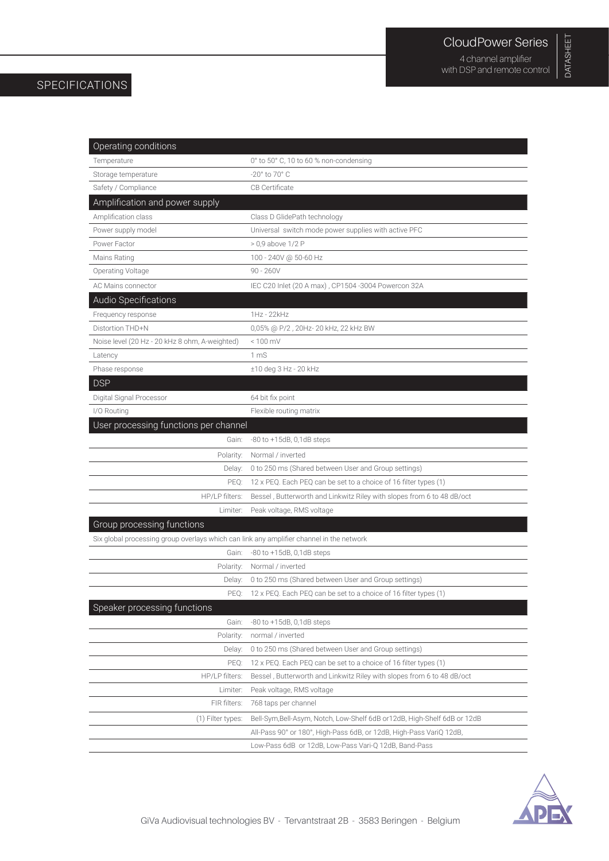# DATASHEET DATASHEET

### SPECIFICATIONS

| Operating conditions                                                                     |                                                                           |  |  |
|------------------------------------------------------------------------------------------|---------------------------------------------------------------------------|--|--|
| Temperature                                                                              | 0° to 50° C, 10 to 60 % non-condensing                                    |  |  |
| Storage temperature                                                                      | $-20^\circ$ to 70 $^\circ$ C                                              |  |  |
| Safety / Compliance                                                                      | <b>CB</b> Certificate                                                     |  |  |
| Amplification and power supply                                                           |                                                                           |  |  |
| Amplification class                                                                      | Class D GlidePath technology                                              |  |  |
| Power supply model                                                                       | Universal switch mode power supplies with active PFC                      |  |  |
| Power Factor                                                                             | $> 0.9$ above 1/2 P                                                       |  |  |
| Mains Rating                                                                             | 100 - 240V @ 50-60 Hz                                                     |  |  |
| Operating Voltage                                                                        | $90 - 260V$                                                               |  |  |
| AC Mains connector                                                                       | IEC C20 Inlet (20 A max), CP1504-3004 Powercon 32A                        |  |  |
| Audio Specifications                                                                     |                                                                           |  |  |
| Frequency response                                                                       | 1Hz - 22kHz                                                               |  |  |
| Distortion THD+N                                                                         | 0,05% @ P/2 , 20Hz- 20 kHz, 22 kHz BW                                     |  |  |
| Noise level (20 Hz - 20 kHz 8 ohm, A-weighted)                                           | $< 100$ mV                                                                |  |  |
| Latency                                                                                  | 1 mS                                                                      |  |  |
| Phase response                                                                           | ±10 deg 3 Hz - 20 kHz                                                     |  |  |
| <b>DSP</b>                                                                               |                                                                           |  |  |
| Digital Signal Processor                                                                 | 64 bit fix point                                                          |  |  |
| I/O Routing                                                                              | Flexible routing matrix                                                   |  |  |
| User processing functions per channel                                                    |                                                                           |  |  |
| Gain:                                                                                    | $-80$ to $+15dB$ , 0,1dB steps                                            |  |  |
| Polarity:                                                                                | Normal / inverted                                                         |  |  |
| Delay:                                                                                   | 0 to 250 ms (Shared between User and Group settings)                      |  |  |
| PEQ:                                                                                     | 12 x PEQ. Each PEQ can be set to a choice of 16 filter types (1)          |  |  |
| HP/LP filters:                                                                           | Bessel, Butterworth and Linkwitz Riley with slopes from 6 to 48 dB/oct    |  |  |
| Limiter:                                                                                 | Peak voltage, RMS voltage                                                 |  |  |
| Group processing functions                                                               |                                                                           |  |  |
| Six global processing group overlays which can link any amplifier channel in the network |                                                                           |  |  |
| Gain:                                                                                    | $-80$ to $+15dB$ , 0,1dB steps                                            |  |  |
| Polarity:                                                                                | Normal / inverted                                                         |  |  |
| Delay:                                                                                   | 0 to 250 ms (Shared between User and Group settings)                      |  |  |
| PEQ:                                                                                     | 12 x PEQ. Each PEQ can be set to a choice of 16 filter types (1)          |  |  |
| Speaker processing functions                                                             |                                                                           |  |  |
| Gain:                                                                                    | $-80$ to $+15dB$ , 0,1dB steps                                            |  |  |
| Polarity:                                                                                | normal / inverted                                                         |  |  |
| Delay:                                                                                   | 0 to 250 ms (Shared between User and Group settings)                      |  |  |
| PEQ:                                                                                     | 12 x PEQ. Each PEQ can be set to a choice of 16 filter types (1)          |  |  |
| HP/LP filters:                                                                           | Bessel, Butterworth and Linkwitz Riley with slopes from 6 to 48 dB/oct    |  |  |
| Limiter:                                                                                 | Peak voltage, RMS voltage                                                 |  |  |
| FIR filters:                                                                             | 768 taps per channel                                                      |  |  |
| (1) Filter types:                                                                        | Bell-Sym, Bell-Asym, Notch, Low-Shelf 6dB or 12dB, High-Shelf 6dB or 12dB |  |  |
|                                                                                          | All-Pass 90° or 180°, High-Pass 6dB, or 12dB, High-Pass VariQ 12dB,       |  |  |
|                                                                                          | Low-Pass 6dB or 12dB, Low-Pass Vari-Q 12dB, Band-Pass                     |  |  |

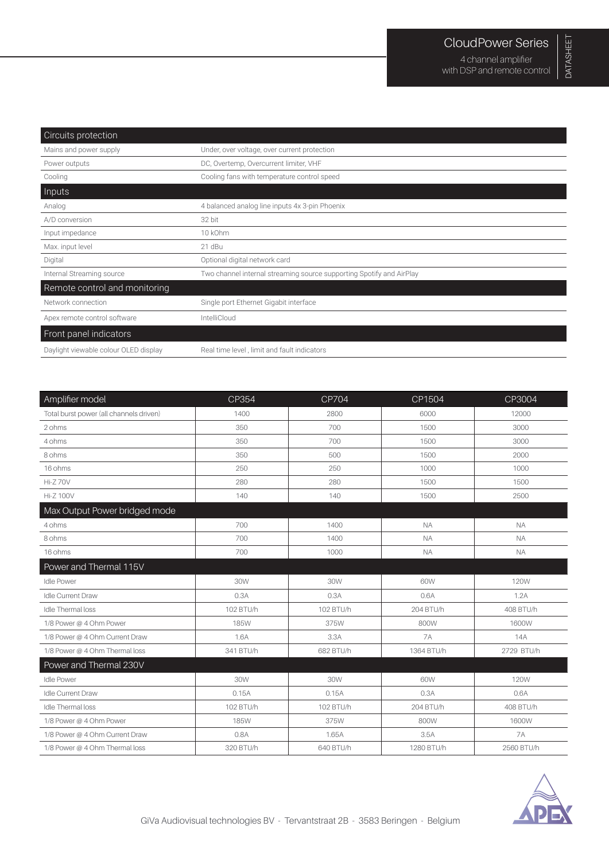| Circuits protection                   |                                                                      |
|---------------------------------------|----------------------------------------------------------------------|
| Mains and power supply                | Under, over voltage, over current protection                         |
| Power outputs                         | DC, Overtemp, Overcurrent limiter, VHF                               |
| Cooling                               | Cooling fans with temperature control speed                          |
| Inputs                                |                                                                      |
| Analog                                | 4 balanced analog line inputs 4x 3-pin Phoenix                       |
| A/D conversion                        | 32 bit                                                               |
| Input impedance                       | 10 kOhm                                                              |
| Max. input level                      | 21 dBu                                                               |
| Digital                               | Optional digital network card                                        |
| Internal Streaming source             | Two channel internal streaming source supporting Spotify and AirPlay |
| Remote control and monitoring         |                                                                      |
| Network connection                    | Single port Ethernet Gigabit interface                               |
| Apex remote control software          | IntelliCloud                                                         |
| Front panel indicators                |                                                                      |
| Daylight viewable colour OLED display | Real time level, limit and fault indicators                          |

| Amplifier model                         | CP354       | CP704     | CP1504     | CP3004      |
|-----------------------------------------|-------------|-----------|------------|-------------|
| Total burst power (all channels driven) | 1400        | 2800      | 6000       | 12000       |
| 2 ohms                                  | 350         | 700       | 1500       | 3000        |
| 4 ohms                                  | 350         | 700       | 1500       | 3000        |
| 8 ohms                                  | 350         | 500       | 1500       | 2000        |
| 16 ohms                                 | 250         | 250       | 1000       | 1000        |
| <b>Hi-Z70V</b>                          | 280         | 280       | 1500       | 1500        |
| <b>Hi-Z 100V</b>                        | 140         | 140       | 1500       | 2500        |
| Max Output Power bridged mode           |             |           |            |             |
| 4 ohms                                  | 700         | 1400      | <b>NA</b>  | <b>NA</b>   |
| 8 ohms                                  | 700         | 1400      | <b>NA</b>  | <b>NA</b>   |
| 16 ohms                                 | 700         | 1000      | <b>NA</b>  | <b>NA</b>   |
| Power and Thermal 115V                  |             |           |            |             |
| <b>Idle Power</b>                       | 30W         | 30W       | 60W        | <b>120W</b> |
| <b>Idle Current Draw</b>                | 0.3A        | 0.3A      | 0.6A       | 1.2A        |
| <b>Idle Thermal loss</b>                | 102 BTU/h   | 102 BTU/h | 204 BTU/h  | 408 BTU/h   |
| 1/8 Power @ 4 Ohm Power                 | <b>185W</b> | 375W      | 800W       | 1600W       |
| 1/8 Power @ 4 Ohm Current Draw          | 1.6A        | 3.3A      | <b>7A</b>  | 14A         |
| 1/8 Power @ 4 Ohm Thermal loss          | 341 BTU/h   | 682 BTU/h | 1364 BTU/h | 2729 BTU/h  |
| Power and Thermal 230V                  |             |           |            |             |
| <b>Idle Power</b>                       | 30W         | 30W       | 60W        | <b>120W</b> |
| <b>Idle Current Draw</b>                | 0.15A       | 0.15A     | 0.3A       | 0.6A        |
| <b>Idle Thermal loss</b>                | 102 BTU/h   | 102 BTU/h | 204 BTU/h  | 408 BTU/h   |
| 1/8 Power @ 4 Ohm Power                 | <b>185W</b> | 375W      | 800W       | 1600W       |
| 1/8 Power @ 4 Ohm Current Draw          | 0.8A        | 1.65A     | 3.5A       | <b>7A</b>   |
| 1/8 Power @ 4 Ohm Thermal loss          | 320 BTU/h   | 640 BTU/h | 1280 BTU/h | 2560 BTU/h  |